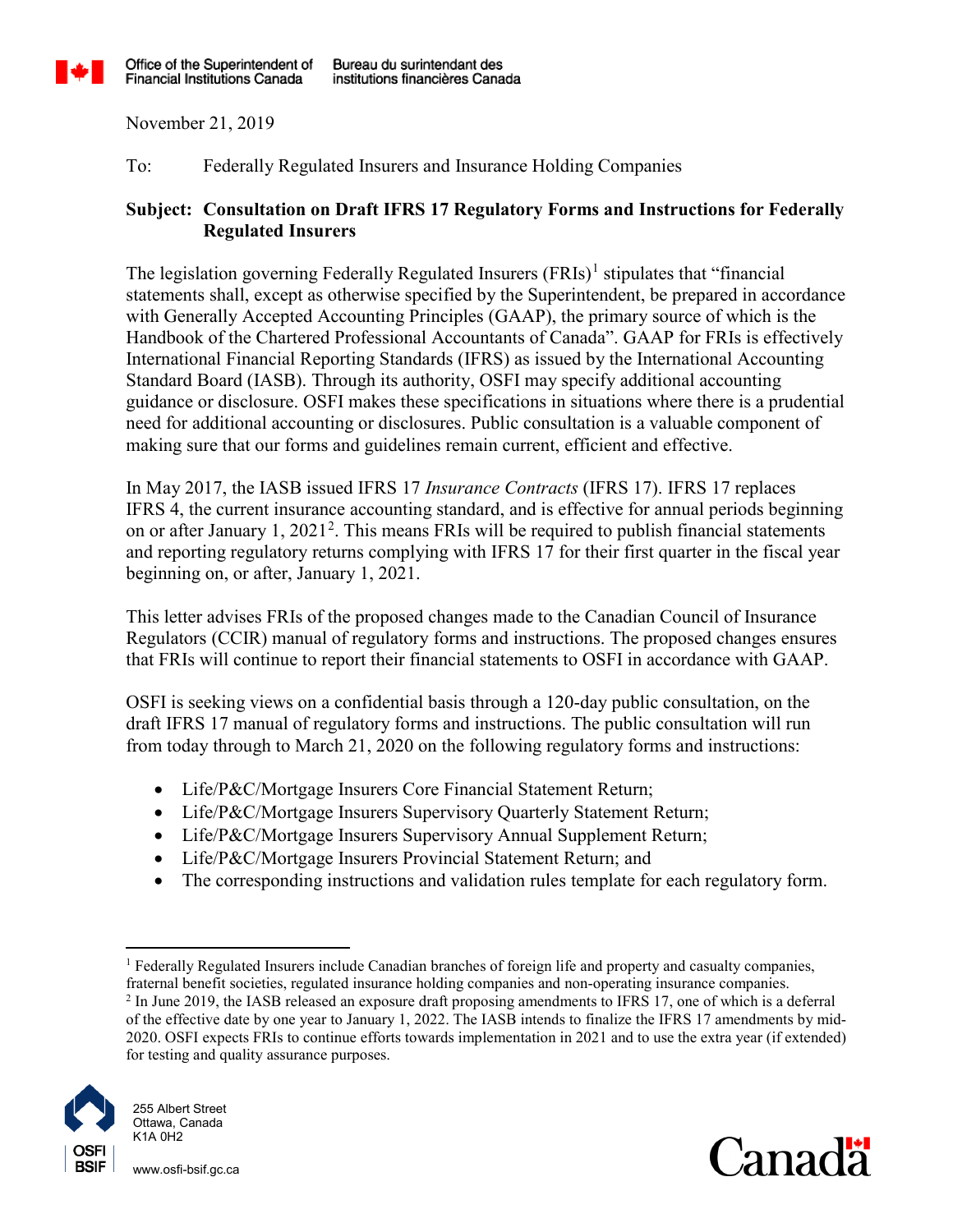

November 21, 2019

To: Federally Regulated Insurers and Insurance Holding Companies

## **Subject: Consultation on Draft IFRS 17 Regulatory Forms and Instructions for Federally Regulated Insurers**

The legislation governing Federally Regulated Insurers  $(FRIs)^{1}$  $(FRIs)^{1}$  $(FRIs)^{1}$  stipulates that "financial" statements shall, except as otherwise specified by the Superintendent, be prepared in accordance with Generally Accepted Accounting Principles (GAAP), the primary source of which is the Handbook of the Chartered Professional Accountants of Canada". GAAP for FRIs is effectively International Financial Reporting Standards (IFRS) as issued by the International Accounting Standard Board (IASB). Through its authority, OSFI may specify additional accounting guidance or disclosure. OSFI makes these specifications in situations where there is a prudential need for additional accounting or disclosures. Public consultation is a valuable component of making sure that our forms and guidelines remain current, efficient and effective.

In May 2017, the IASB issued IFRS 17 *Insurance Contracts* (IFRS 17). IFRS 17 replaces IFRS 4, the current insurance accounting standard, and is effective for annual periods beginning on or after January  $1, 2021^2$  $1, 2021^2$  $1, 2021^2$ . This means FRIs will be required to publish financial statements and reporting regulatory returns complying with IFRS 17 for their first quarter in the fiscal year beginning on, or after, January 1, 2021.

This letter advises FRIs of the proposed changes made to the Canadian Council of Insurance Regulators (CCIR) manual of regulatory forms and instructions. The proposed changes ensures that FRIs will continue to report their financial statements to OSFI in accordance with GAAP.

OSFI is seeking views on a confidential basis through a 120-day public consultation, on the draft IFRS 17 manual of regulatory forms and instructions. The public consultation will run from today through to March 21, 2020 on the following regulatory forms and instructions:

- Life/P&C/Mortgage Insurers Core Financial Statement Return;
- Life/P&C/Mortgage Insurers Supervisory Quarterly Statement Return;
- Life/P&C/Mortgage Insurers Supervisory Annual Supplement Return;
- Life/P&C/Mortgage Insurers Provincial Statement Return; and
- The corresponding instructions and validation rules template for each regulatory form.

<span id="page-0-1"></span><span id="page-0-0"></span><sup>&</sup>lt;sup>1</sup> Federally Regulated Insurers include Canadian branches of foreign life and property and casualty companies, fraternal benefit societies, regulated insurance holding companies and non-operating insurance companies. <sup>2</sup> In June 2019, the IASB released an exposure draft proposing amendments to IFRS 17, one of which is a deferral of the effective date by one year to January 1, 2022. The IASB intends to finalize the IFRS 17 amendments by mid-2020. OSFI expects FRIs to continue efforts towards implementation in 2021 and to use the extra year (if extended) for testing and quality assurance purposes.



www.osfi-bsif.gc.ca

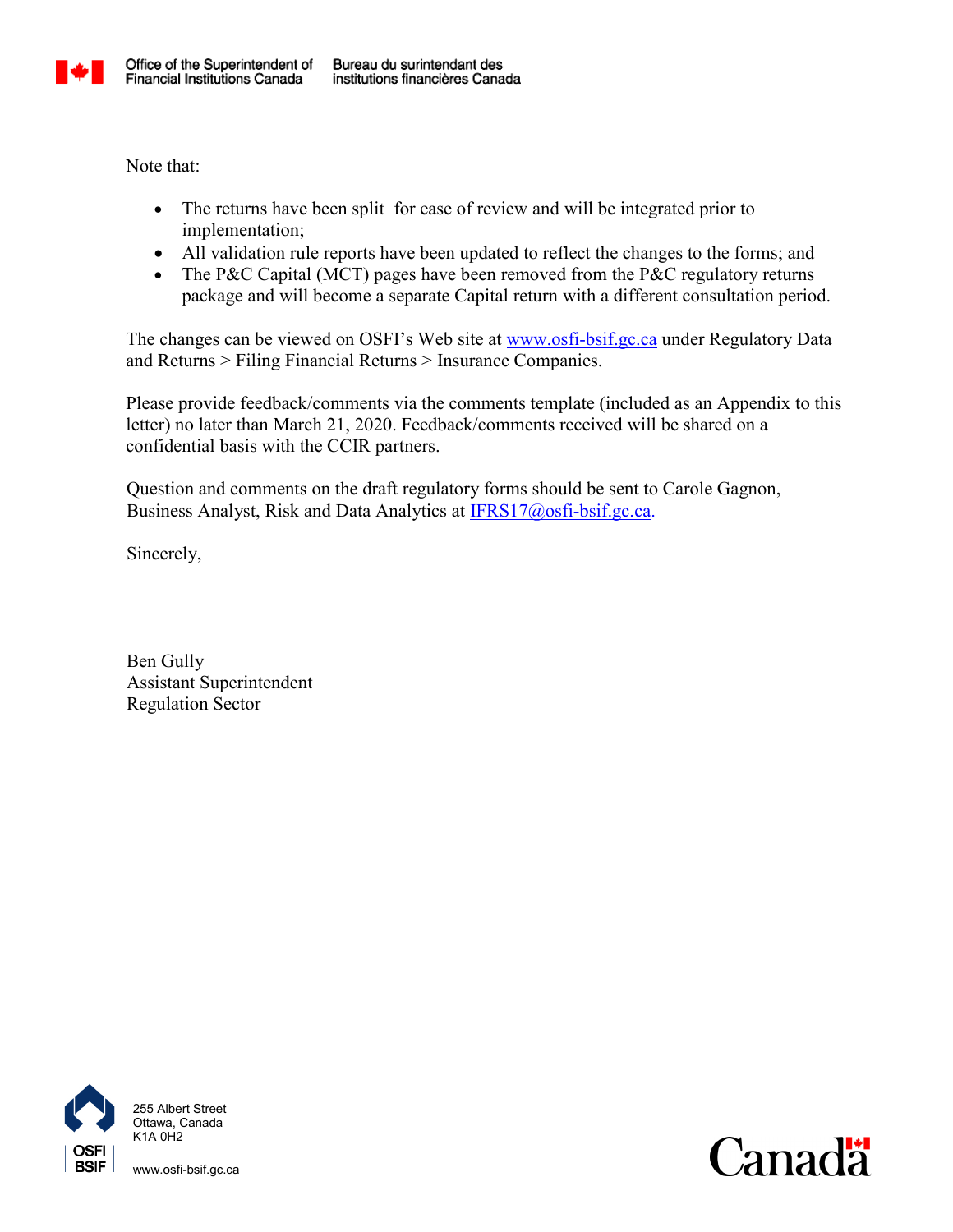

Note that:

- The returns have been split for ease of review and will be integrated prior to implementation;
- All validation rule reports have been updated to reflect the changes to the forms; and
- The P&C Capital (MCT) pages have been removed from the P&C regulatory returns package and will become a separate Capital return with a different consultation period.

The changes can be viewed on OSFI's Web site at [www.osfi-bsif.gc.ca](http://www.osfi-bsif.gc.ca/) under Regulatory Data and Returns > Filing Financial Returns > Insurance Companies.

Please provide feedback/comments via the comments template (included as an Appendix to this letter) no later than March 21, 2020. Feedback/comments received will be shared on a confidential basis with the CCIR partners.

Question and comments on the draft regulatory forms should be sent to Carole Gagnon, Business Analyst, Risk and Data Analytics at **IFRS17@osfi-bsif.gc.ca**.

Sincerely,

Ben Gully Assistant Superintendent Regulation Sector



255 Albert Street Ottawa, Canada K1A 0H2

www.osfi-bsif.gc.ca